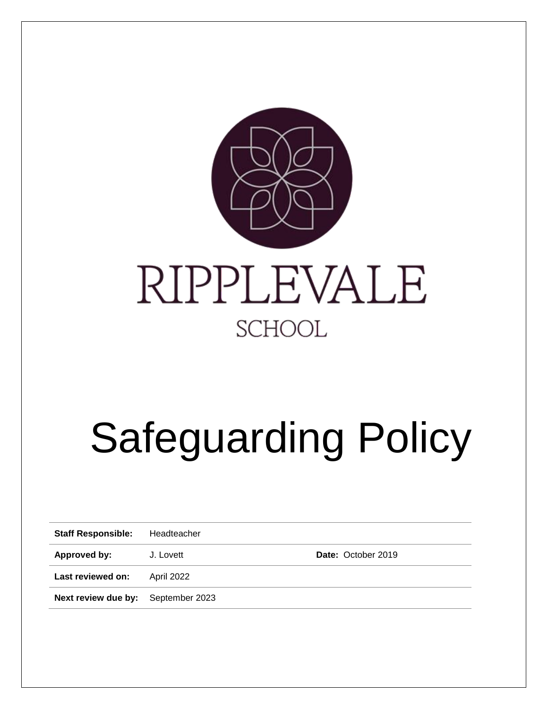

# Safeguarding Policy

**Staff Responsible:** Headteacher

**Approved by:** J. Lovett **Date:** October 2019

**Last reviewed on:** April 2022

**Next review due by:** September 2023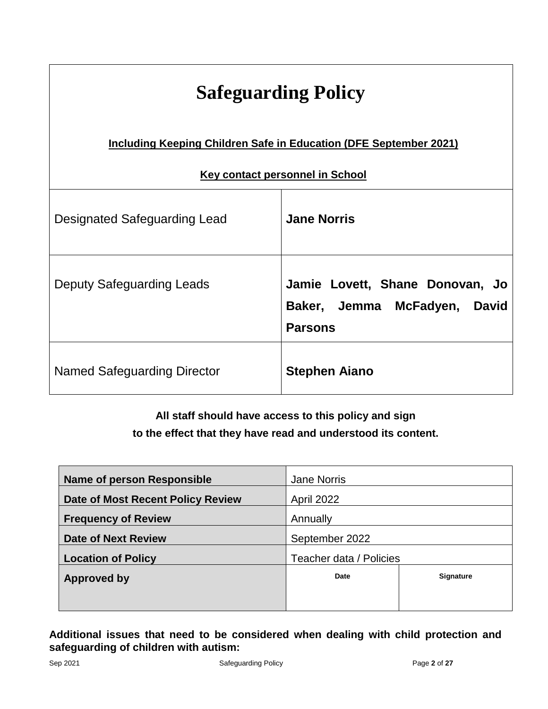| <b>Safeguarding Policy</b>                                               |                                                                                   |  |  |
|--------------------------------------------------------------------------|-----------------------------------------------------------------------------------|--|--|
| <b>Including Keeping Children Safe in Education (DFE September 2021)</b> |                                                                                   |  |  |
| <b>Key contact personnel in School</b>                                   |                                                                                   |  |  |
| Designated Safeguarding Lead                                             | <b>Jane Norris</b>                                                                |  |  |
| <b>Deputy Safeguarding Leads</b>                                         | Jamie Lovett, Shane Donovan, Jo<br>Baker, Jemma McFadyen, David<br><b>Parsons</b> |  |  |
| Named Safeguarding Director                                              | <b>Stephen Aiano</b>                                                              |  |  |

# **All staff should have access to this policy and sign to the effect that they have read and understood its content.**

| <b>Jane Norris</b>      |                  |
|-------------------------|------------------|
| April 2022              |                  |
| Annually                |                  |
| September 2022          |                  |
| Teacher data / Policies |                  |
| Date                    | <b>Signature</b> |
|                         |                  |
|                         |                  |

# **Additional issues that need to be considered when dealing with child protection and safeguarding of children with autism:**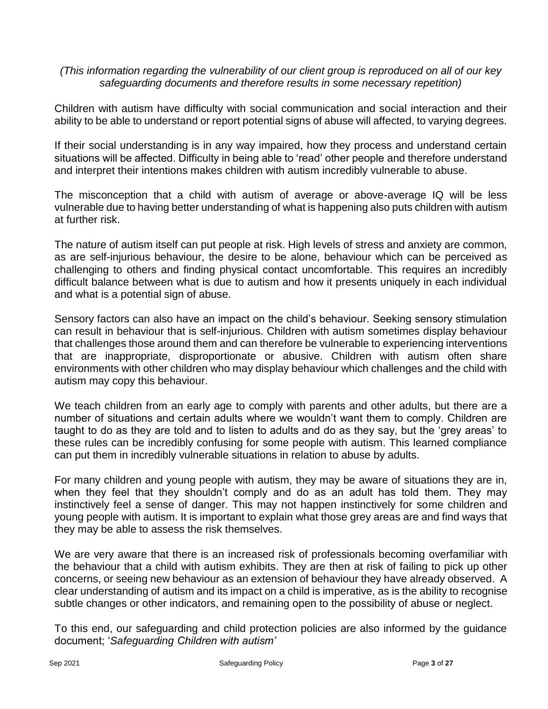# *(This information regarding the vulnerability of our client group is reproduced on all of our key safeguarding documents and therefore results in some necessary repetition)*

Children with autism have difficulty with social communication and social interaction and their ability to be able to understand or report potential signs of abuse will affected, to varying degrees.

If their social understanding is in any way impaired, how they process and understand certain situations will be affected. Difficulty in being able to 'read' other people and therefore understand and interpret their intentions makes children with autism incredibly vulnerable to abuse.

The misconception that a child with autism of average or above-average IQ will be less vulnerable due to having better understanding of what is happening also puts children with autism at further risk.

The nature of autism itself can put people at risk. High levels of stress and anxiety are common, as are self-injurious behaviour, the desire to be alone, behaviour which can be perceived as challenging to others and finding physical contact uncomfortable. This requires an incredibly difficult balance between what is due to autism and how it presents uniquely in each individual and what is a potential sign of abuse.

Sensory factors can also have an impact on the child's behaviour. Seeking sensory stimulation can result in behaviour that is self-injurious. Children with autism sometimes display behaviour that challenges those around them and can therefore be vulnerable to experiencing interventions that are inappropriate, disproportionate or abusive. Children with autism often share environments with other children who may display behaviour which challenges and the child with autism may copy this behaviour.

We teach children from an early age to comply with parents and other adults, but there are a number of situations and certain adults where we wouldn't want them to comply. Children are taught to do as they are told and to listen to adults and do as they say, but the 'grey areas' to these rules can be incredibly confusing for some people with autism. This learned compliance can put them in incredibly vulnerable situations in relation to abuse by adults.

For many children and young people with autism, they may be aware of situations they are in, when they feel that they shouldn't comply and do as an adult has told them. They may instinctively feel a sense of danger. This may not happen instinctively for some children and young people with autism. It is important to explain what those grey areas are and find ways that they may be able to assess the risk themselves.

We are very aware that there is an increased risk of professionals becoming overfamiliar with the behaviour that a child with autism exhibits. They are then at risk of failing to pick up other concerns, or seeing new behaviour as an extension of behaviour they have already observed. A clear understanding of autism and its impact on a child is imperative, as is the ability to recognise subtle changes or other indicators, and remaining open to the possibility of abuse or neglect.

To this end, our safeguarding and child protection policies are also informed by the guidance document; '*Safeguarding Children with autism'*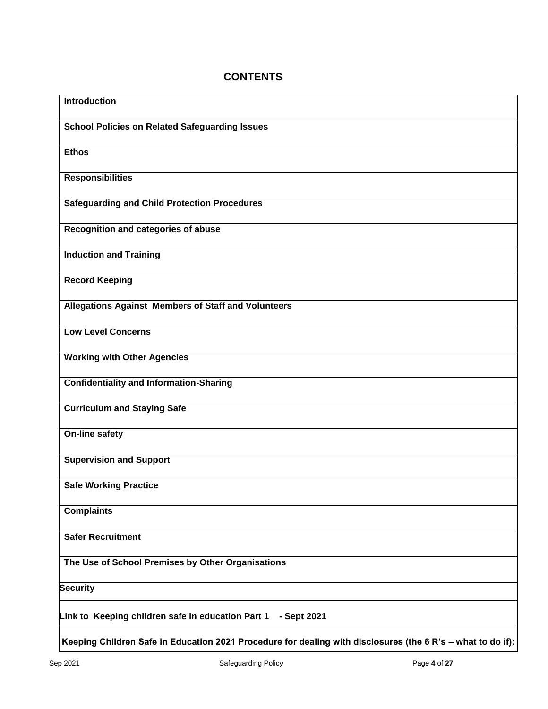# **CONTENTS**

| <b>Introduction</b>                                                                                         |
|-------------------------------------------------------------------------------------------------------------|
| <b>School Policies on Related Safeguarding Issues</b>                                                       |
| <b>Ethos</b>                                                                                                |
| <b>Responsibilities</b>                                                                                     |
| <b>Safeguarding and Child Protection Procedures</b>                                                         |
| Recognition and categories of abuse                                                                         |
| <b>Induction and Training</b>                                                                               |
| <b>Record Keeping</b>                                                                                       |
| Allegations Against Members of Staff and Volunteers                                                         |
| <b>Low Level Concerns</b>                                                                                   |
| <b>Working with Other Agencies</b>                                                                          |
| <b>Confidentiality and Information-Sharing</b>                                                              |
| <b>Curriculum and Staying Safe</b>                                                                          |
| <b>On-line safety</b>                                                                                       |
| <b>Supervision and Support</b>                                                                              |
| <b>Safe Working Practice</b>                                                                                |
| <b>Complaints</b>                                                                                           |
| <b>Safer Recruitment</b>                                                                                    |
| The Use of School Premises by Other Organisations                                                           |
| <b>Security</b>                                                                                             |
| Link to Keeping children safe in education Part 1<br>- Sept 2021                                            |
| Keeping Children Safe in Education 2021 Procedure for dealing with disclosures (the 6 R's - what to do if): |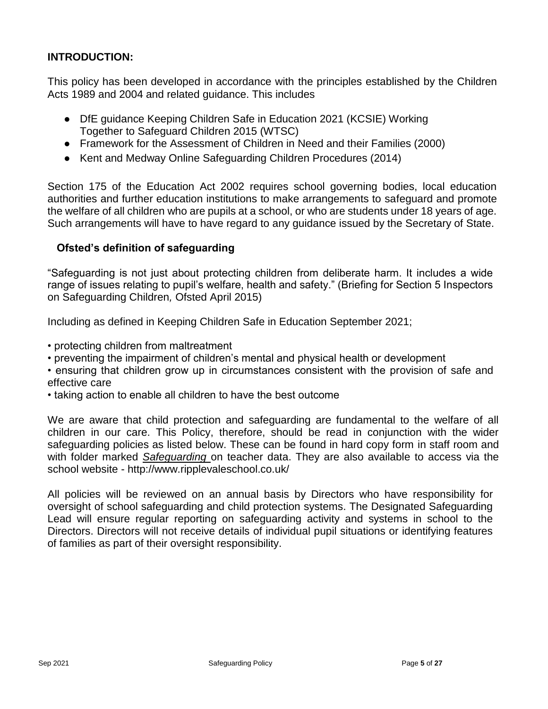# **INTRODUCTION:**

This policy has been developed in accordance with the principles established by the Children Acts 1989 and 2004 and related guidance. This includes

- DfE guidance Keeping Children Safe in Education 2021 (KCSIE) Working Together to Safeguard Children 2015 (WTSC)
- Framework for the Assessment of Children in Need and their Families (2000)
- Kent and Medway Online Safeguarding Children Procedures (2014)

Section 175 of the Education Act 2002 requires school governing bodies, local education authorities and further education institutions to make arrangements to safeguard and promote the welfare of all children who are pupils at a school, or who are students under 18 years of age. Such arrangements will have to have regard to any guidance issued by the Secretary of State.

# **Ofsted's definition of safeguarding**

"Safeguarding is not just about protecting children from deliberate harm. It includes a wide range of issues relating to pupil's welfare, health and safety." (Briefing for Section 5 Inspectors on Safeguarding Children*,* Ofsted April 2015)

Including as defined in Keeping Children Safe in Education September 2021;

- protecting children from maltreatment
- preventing the impairment of children's mental and physical health or development
- ensuring that children grow up in circumstances consistent with the provision of safe and effective care
- taking action to enable all children to have the best outcome

We are aware that child protection and safeguarding are fundamental to the welfare of all children in our care. This Policy, therefore, should be read in conjunction with the wider safeguarding policies as listed below. These can be found in hard copy form in staff room and with folder marked *Safeguarding* on teacher data. They are also available to access via the school website - <http://www.ripplevaleschool.co.uk/>

All policies will be reviewed on an annual basis by Directors who have responsibility for oversight of school safeguarding and child protection systems. The Designated Safeguarding Lead will ensure regular reporting on safeguarding activity and systems in school to the Directors. Directors will not receive details of individual pupil situations or identifying features of families as part of their oversight responsibility.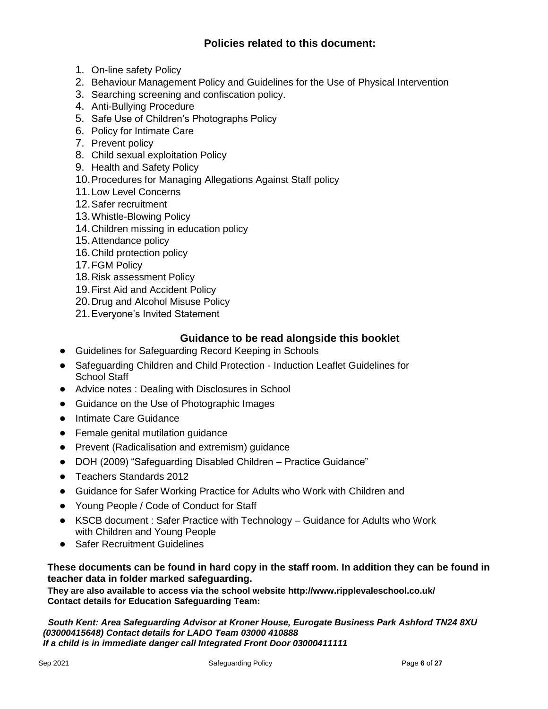# **Policies related to this document:**

- 1. On-line safety Policy
- 2. Behaviour Management Policy and Guidelines for the Use of Physical Intervention
- 3. Searching screening and confiscation policy.
- 4. Anti-Bullying Procedure
- 5. Safe Use of Children's Photographs Policy
- 6. Policy for Intimate Care
- 7. Prevent policy
- 8. Child sexual exploitation Policy
- 9. Health and Safety Policy
- 10.Procedures for Managing Allegations Against Staff policy
- 11.Low Level Concerns
- 12.Safer recruitment
- 13.Whistle-Blowing Policy
- 14.Children missing in education policy
- 15.Attendance policy
- 16.Child protection policy
- 17.FGM Policy
- 18.Risk assessment Policy
- 19.First Aid and Accident Policy
- 20.Drug and Alcohol Misuse Policy
- 21.Everyone's Invited Statement

## **Guidance to be read alongside this booklet**

- Guidelines for Safeguarding Record Keeping in Schools
- Safeguarding Children and Child Protection Induction Leaflet Guidelines for School Staff
- Advice notes : Dealing with Disclosures in School
- Guidance on the Use of Photographic Images
- Intimate Care Guidance
- Female genital mutilation guidance
- Prevent (Radicalisation and extremism) guidance
- DOH (2009) "Safeguarding Disabled Children Practice Guidance"
- Teachers Standards 2012
- Guidance for Safer Working Practice for Adults who Work with Children and
- Young People / Code of Conduct for Staff
- KSCB document : Safer Practice with Technology Guidance for Adults who Work with Children and Young People
- Safer Recruitment Guidelines

## **These documents can be found in hard copy in the staff room. In addition they can be found in teacher data in folder marked safeguarding.**

**They are also available to access via the school website<http://www.ripplevaleschool.co.uk/> Contact details for Education Safeguarding Team:**

 *South Kent: Area Safeguarding Advisor at Kroner House, Eurogate Business Park Ashford TN24 8XU (03000415648) Contact details for LADO Team 03000 410888 If a child is in immediate danger call Integrated Front Door 03000411111*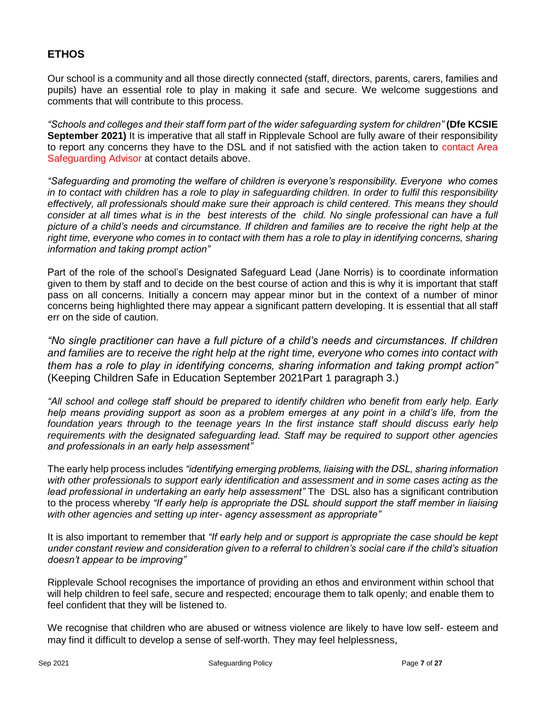# **ETHOS**

Our school is a community and all those directly connected (staff, directors, parents, carers, families and pupils) have an essential role to play in making it safe and secure. We welcome suggestions and comments that will contribute to this process.

*"Schools and colleges and their staff form part of the wider safeguarding system for children"* **(Dfe KCSIE September 2021)** It is imperative that all staff in Ripplevale School are fully aware of their responsibility to report any concerns they have to the DSL and if not satisfied with the action taken to contact Area Safeguarding Advisor at contact details above.

*"Safeguarding and promoting the welfare of children is everyone's responsibility. Everyone who comes in to contact with children has a role to play in safeguarding children. In order to fulfil this responsibility effectively, all professionals should make sure their approach is child centered. This means they should consider at all times what is in the best interests of the child. No single professional can have a full picture of a child's needs and circumstance. If children and families are to receive the right help at the right time, everyone who comes in to contact with them has a role to play in identifying concerns, sharing information and taking prompt action"*

Part of the role of the school's Designated Safeguard Lead (Jane Norris) is to coordinate information given to them by staff and to decide on the best course of action and this is why it is important that staff pass on all concerns. Initially a concern may appear minor but in the context of a number of minor concerns being highlighted there may appear a significant pattern developing. It is essential that all staff err on the side of caution.

*"No single practitioner can have a full picture of a child's needs and circumstances. If children and families are to receive the right help at the right time, everyone who comes into contact with them has a role to play in identifying concerns, sharing information and taking prompt action"*  (Keeping Children Safe in Education September 2021Part 1 paragraph 3.)

*"All school and college staff should be prepared to identify children who benefit from early help. Early help means providing support as soon as a problem emerges at any point in a child's life, from the foundation years through to the teenage years In the first instance staff should discuss early help requirements with the designated safeguarding lead. Staff may be required to support other agencies and professionals in an early help assessment"*

The early help process includes *"identifying emerging problems, liaising with the DSL, sharing information with other professionals to support early identification and assessment and in some cases acting as the lead professional in undertaking an early help assessment"* The DSL also has a significant contribution to the process whereby *"If early help is appropriate the DSL should support the staff member in liaising with other agencies and setting up inter- agency assessment as appropriate"*

It is also important to remember that *"If early help and or support is appropriate the case should be kept under constant review and consideration given to a referral to children's social care if the child's situation doesn't appear to be improving"*

Ripplevale School recognises the importance of providing an ethos and environment within school that will help children to feel safe, secure and respected; encourage them to talk openly; and enable them to feel confident that they will be listened to.

We recognise that children who are abused or witness violence are likely to have low self- esteem and may find it difficult to develop a sense of self-worth. They may feel helplessness,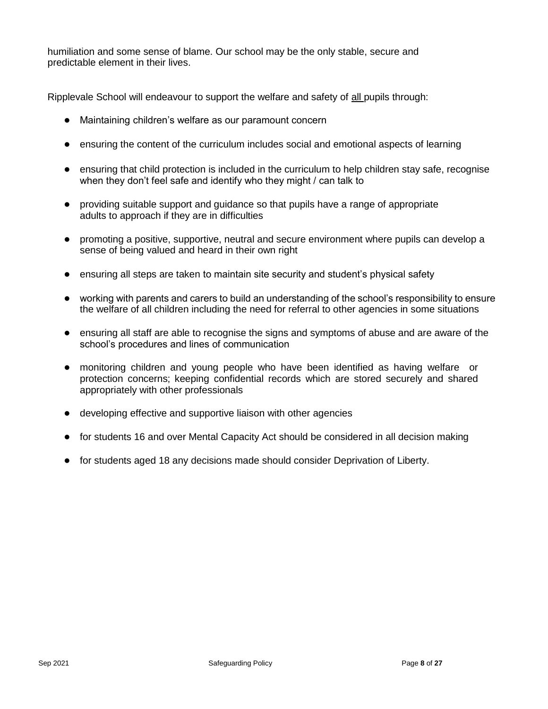humiliation and some sense of blame. Our school may be the only stable, secure and predictable element in their lives.

Ripplevale School will endeavour to support the welfare and safety of all pupils through:

- Maintaining children's welfare as our paramount concern
- ensuring the content of the curriculum includes social and emotional aspects of learning
- ensuring that child protection is included in the curriculum to help children stay safe, recognise when they don't feel safe and identify who they might / can talk to
- providing suitable support and guidance so that pupils have a range of appropriate adults to approach if they are in difficulties
- promoting a positive, supportive, neutral and secure environment where pupils can develop a sense of being valued and heard in their own right
- ensuring all steps are taken to maintain site security and student's physical safety
- working with parents and carers to build an understanding of the school's responsibility to ensure the welfare of all children including the need for referral to other agencies in some situations
- ensuring all staff are able to recognise the signs and symptoms of abuse and are aware of the school's procedures and lines of communication
- monitoring children and young people who have been identified as having welfare or protection concerns; keeping confidential records which are stored securely and shared appropriately with other professionals
- developing effective and supportive liaison with other agencies
- for students 16 and over Mental Capacity Act should be considered in all decision making
- for students aged 18 any decisions made should consider Deprivation of Liberty.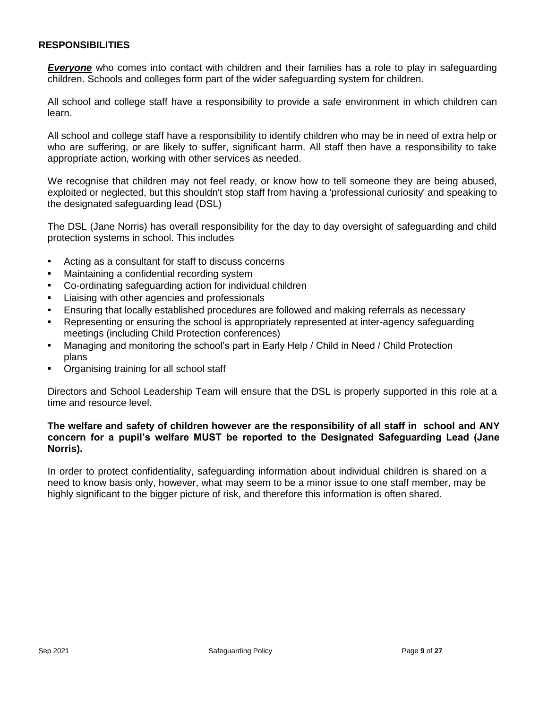## **RESPONSIBILITIES**

*Everyone* who comes into contact with children and their families has a role to play in safeguarding children. Schools and colleges form part of the wider safeguarding system for children.

All school and college staff have a responsibility to provide a safe environment in which children can learn.

All school and college staff have a responsibility to identify children who may be in need of extra help or who are suffering, or are likely to suffer, significant harm. All staff then have a responsibility to take appropriate action, working with other services as needed.

We recognise that children may not feel ready, or know how to tell someone they are being abused, exploited or neglected, but this shouldn't stop staff from having a 'professional curiosity' and speaking to the designated safeguarding lead (DSL)

The DSL (Jane Norris) has overall responsibility for the day to day oversight of safeguarding and child protection systems in school. This includes

- Acting as a consultant for staff to discuss concerns
- **Maintaining a confidential recording system**
- Co-ordinating safeguarding action for individual children
- Liaising with other agencies and professionals
- Ensuring that locally established procedures are followed and making referrals as necessary
- Representing or ensuring the school is appropriately represented at inter-agency safeguarding meetings (including Child Protection conferences)
- Managing and monitoring the school's part in Early Help / Child in Need / Child Protection plans
- Organising training for all school staff

Directors and School Leadership Team will ensure that the DSL is properly supported in this role at a time and resource level.

## **The welfare and safety of children however are the responsibility of all staff in school and ANY concern for a pupil's welfare MUST be reported to the Designated Safeguarding Lead (Jane Norris).**

In order to protect confidentiality, safeguarding information about individual children is shared on a need to know basis only, however, what may seem to be a minor issue to one staff member, may be highly significant to the bigger picture of risk, and therefore this information is often shared.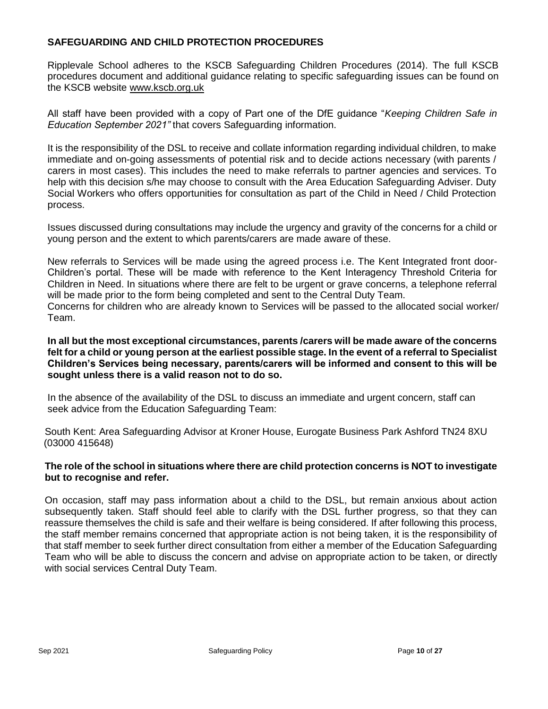## **SAFEGUARDING AND CHILD PROTECTION PROCEDURES**

Ripplevale School adheres to the KSCB Safeguarding Children Procedures (2014). The full KSCB procedures document and additional guidance relating to specific safeguarding issues can be found on the KSCB website [www.kscb.org.uk](http://www.kscb.org.uk/)

All staff have been provided with a copy of Part one of the DfE guidance "*Keeping Children Safe in Education September 2021"* that covers Safeguarding information.

It is the responsibility of the DSL to receive and collate information regarding individual children, to make immediate and on-going assessments of potential risk and to decide actions necessary (with parents / carers in most cases). This includes the need to make referrals to partner agencies and services. To help with this decision s/he may choose to consult with the Area Education Safeguarding Adviser. Duty Social Workers who offers opportunities for consultation as part of the Child in Need / Child Protection process.

Issues discussed during consultations may include the urgency and gravity of the concerns for a child or young person and the extent to which parents/carers are made aware of these.

New referrals to Services will be made using the agreed process i.e. The Kent Integrated front door-Children's portal. These will be made with reference to the Kent Interagency Threshold Criteria for Children in Need. In situations where there are felt to be urgent or grave concerns, a telephone referral will be made prior to the form being completed and sent to the Central Duty Team.

Concerns for children who are already known to Services will be passed to the allocated social worker/ Team.

**In all but the most exceptional circumstances, parents /carers will be made aware of the concerns felt for a child or young person at the earliest possible stage. In the event of a referral to Specialist Children's Services being necessary, parents/carers will be informed and consent to this will be sought unless there is a valid reason not to do so.**

In the absence of the availability of the DSL to discuss an immediate and urgent concern, staff can seek advice from the Education Safeguarding Team:

South Kent: Area Safeguarding Advisor at Kroner House, Eurogate Business Park Ashford TN24 8XU (03000 415648)

## **The role of the school in situations where there are child protection concerns is NOT to investigate but to recognise and refer.**

On occasion, staff may pass information about a child to the DSL, but remain anxious about action subsequently taken. Staff should feel able to clarify with the DSL further progress, so that they can reassure themselves the child is safe and their welfare is being considered. If after following this process, the staff member remains concerned that appropriate action is not being taken, it is the responsibility of that staff member to seek further direct consultation from either a member of the Education Safeguarding Team who will be able to discuss the concern and advise on appropriate action to be taken, or directly with social services Central Duty Team.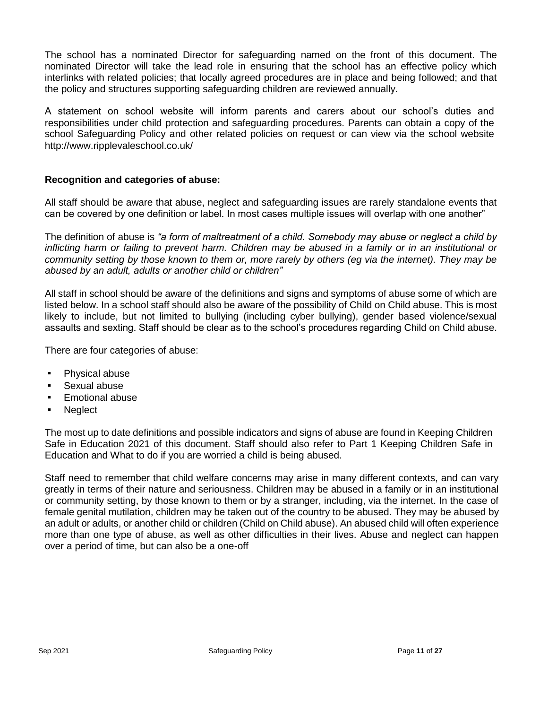The school has a nominated Director for safeguarding named on the front of this document. The nominated Director will take the lead role in ensuring that the school has an effective policy which interlinks with related policies; that locally agreed procedures are in place and being followed; and that the policy and structures supporting safeguarding children are reviewed annually.

A statement on school website will inform parents and carers about our school's duties and responsibilities under child protection and safeguarding procedures. Parents can obtain a copy of the school Safeguarding Policy and other related policies on request or can view via the school website <http://www.ripplevaleschool.co.uk/>

## **Recognition and categories of abuse:**

All staff should be aware that abuse, neglect and safeguarding issues are rarely standalone events that can be covered by one definition or label. In most cases multiple issues will overlap with one another"

The definition of abuse is *"a form of maltreatment of a child. Somebody may abuse or neglect a child by inflicting harm or failing to prevent harm. Children may be abused in a family or in an institutional or community setting by those known to them or, more rarely by others (eg via the internet). They may be abused by an adult, adults or another child or children"*

All staff in school should be aware of the definitions and signs and symptoms of abuse some of which are listed below. In a school staff should also be aware of the possibility of Child on Child abuse. This is most likely to include, but not limited to bullying (including cyber bullying), gender based violence/sexual assaults and sexting. Staff should be clear as to the school's procedures regarding Child on Child abuse.

There are four categories of abuse:

- Physical abuse
- Sexual abuse
- **Emotional abuse**
- **Neglect**

The most up to date definitions and possible indicators and signs of abuse are found in Keeping Children Safe in Education 2021 of this document. Staff should also refer to Part 1 Keeping Children Safe in Education and What to do if you are worried a child is being abused.

Staff need to remember that child welfare concerns may arise in many different contexts, and can vary greatly in terms of their nature and seriousness. Children may be abused in a family or in an institutional or community setting, by those known to them or by a stranger, including, via the internet. In the case of female genital mutilation, children may be taken out of the country to be abused. They may be abused by an adult or adults, or another child or children (Child on Child abuse). An abused child will often experience more than one type of abuse, as well as other difficulties in their lives. Abuse and neglect can happen over a period of time, but can also be a one-off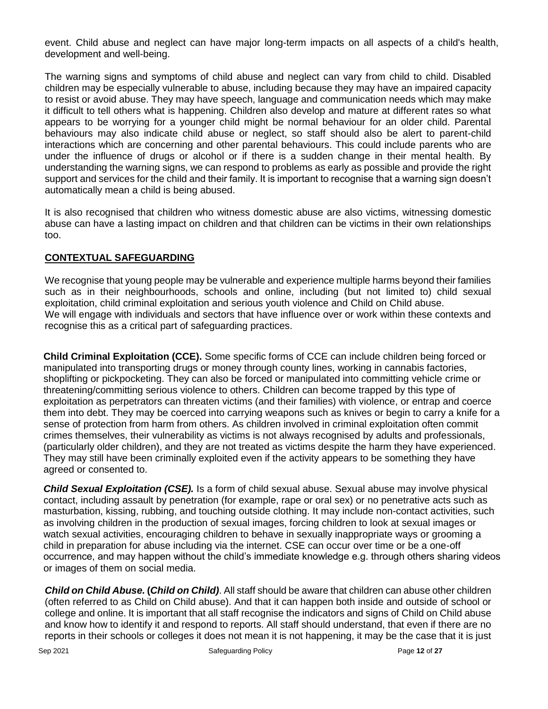event. Child abuse and neglect can have major long-term impacts on all aspects of a child's health, development and well-being.

The warning signs and symptoms of child abuse and neglect can vary from child to child. Disabled children may be especially vulnerable to abuse, including because they may have an impaired capacity to resist or avoid abuse. They may have speech, language and communication needs which may make it difficult to tell others what is happening. Children also develop and mature at different rates so what appears to be worrying for a younger child might be normal behaviour for an older child. Parental behaviours may also indicate child abuse or neglect, so staff should also be alert to parent-child interactions which are concerning and other parental behaviours. This could include parents who are under the influence of drugs or alcohol or if there is a sudden change in their mental health. By understanding the warning signs, we can respond to problems as early as possible and provide the right support and services for the child and their family. It is important to recognise that a warning sign doesn't automatically mean a child is being abused.

It is also recognised that children who witness domestic abuse are also victims, witnessing domestic abuse can have a lasting impact on children and that children can be victims in their own relationships too.

# **CONTEXTUAL SAFEGUARDING**

We recognise that young people may be vulnerable and experience multiple harms beyond their families such as in their neighbourhoods, schools and online, including (but not limited to) child sexual exploitation, child criminal exploitation and serious youth violence and Child on Child abuse. We will engage with individuals and sectors that have influence over or work within these contexts and recognise this as a critical part of safeguarding practices.

**Child Criminal Exploitation (CCE).** Some specific forms of CCE can include children being forced or manipulated into transporting drugs or money through county lines, working in cannabis factories, shoplifting or pickpocketing. They can also be forced or manipulated into committing vehicle crime or threatening/committing serious violence to others. Children can become trapped by this type of exploitation as perpetrators can threaten victims (and their families) with violence, or entrap and coerce them into debt. They may be coerced into carrying weapons such as knives or begin to carry a knife for a sense of protection from harm from others. As children involved in criminal exploitation often commit crimes themselves, their vulnerability as victims is not always recognised by adults and professionals, (particularly older children), and they are not treated as victims despite the harm they have experienced. They may still have been criminally exploited even if the activity appears to be something they have agreed or consented to.

*Child Sexual Exploitation (CSE).* Is a form of child sexual abuse. Sexual abuse may involve physical contact, including assault by penetration (for example, rape or oral sex) or no penetrative acts such as masturbation, kissing, rubbing, and touching outside clothing. It may include non-contact activities, such as involving children in the production of sexual images, forcing children to look at sexual images or watch sexual activities, encouraging children to behave in sexually inappropriate ways or grooming a child in preparation for abuse including via the internet. CSE can occur over time or be a one-off occurrence, and may happen without the child's immediate knowledge e.g. through others sharing videos or images of them on social media.

*Child on Child Abuse.* **(***Child on Child)*. All staff should be aware that children can abuse other children (often referred to as Child on Child abuse). And that it can happen both inside and outside of school or college and online. It is important that all staff recognise the indicators and signs of Child on Child abuse and know how to identify it and respond to reports. All staff should understand, that even if there are no reports in their schools or colleges it does not mean it is not happening, it may be the case that it is just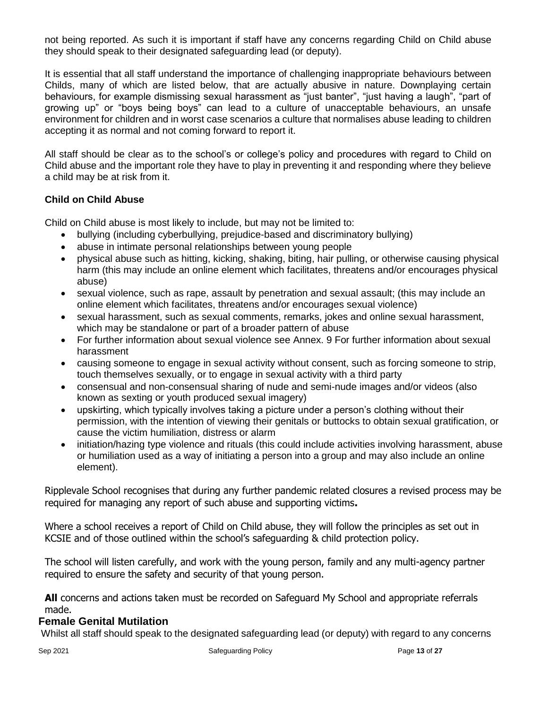not being reported. As such it is important if staff have any concerns regarding Child on Child abuse they should speak to their designated safeguarding lead (or deputy).

It is essential that all staff understand the importance of challenging inappropriate behaviours between Childs, many of which are listed below, that are actually abusive in nature. Downplaying certain behaviours, for example dismissing sexual harassment as "just banter", "just having a laugh", "part of growing up" or "boys being boys" can lead to a culture of unacceptable behaviours, an unsafe environment for children and in worst case scenarios a culture that normalises abuse leading to children accepting it as normal and not coming forward to report it.

All staff should be clear as to the school's or college's policy and procedures with regard to Child on Child abuse and the important role they have to play in preventing it and responding where they believe a child may be at risk from it.

## **Child on Child Abuse**

Child on Child abuse is most likely to include, but may not be limited to:

- bullying (including cyberbullying, prejudice-based and discriminatory bullying)
- abuse in intimate personal relationships between young people
- physical abuse such as hitting, kicking, shaking, biting, hair pulling, or otherwise causing physical harm (this may include an online element which facilitates, threatens and/or encourages physical abuse)
- sexual violence, such as rape, assault by penetration and sexual assault; (this may include an online element which facilitates, threatens and/or encourages sexual violence)
- sexual harassment, such as sexual comments, remarks, jokes and online sexual harassment, which may be standalone or part of a broader pattern of abuse
- For further information about sexual violence see Annex. 9 For further information about sexual harassment
- causing someone to engage in sexual activity without consent, such as forcing someone to strip, touch themselves sexually, or to engage in sexual activity with a third party
- consensual and non-consensual sharing of nude and semi-nude images and/or videos (also known as sexting or youth produced sexual imagery)
- upskirting, which typically involves taking a picture under a person's clothing without their permission, with the intention of viewing their genitals or buttocks to obtain sexual gratification, or cause the victim humiliation, distress or alarm
- initiation/hazing type violence and rituals (this could include activities involving harassment, abuse or humiliation used as a way of initiating a person into a group and may also include an online element).

Ripplevale School recognises that during any further pandemic related closures a revised process may be required for managing any report of such abuse and supporting victims**.** 

Where a school receives a report of Child on Child abuse, they will follow the principles as set out in KCSIE and of those outlined within the school's safeguarding & child protection policy.

The school will listen carefully, and work with the young person, family and any multi-agency partner required to ensure the safety and security of that young person.

**All** concerns and actions taken must be recorded on Safeguard My School and appropriate referrals made.

## **Female Genital Mutilation**

Whilst all staff should speak to the designated safeguarding lead (or deputy) with regard to any concerns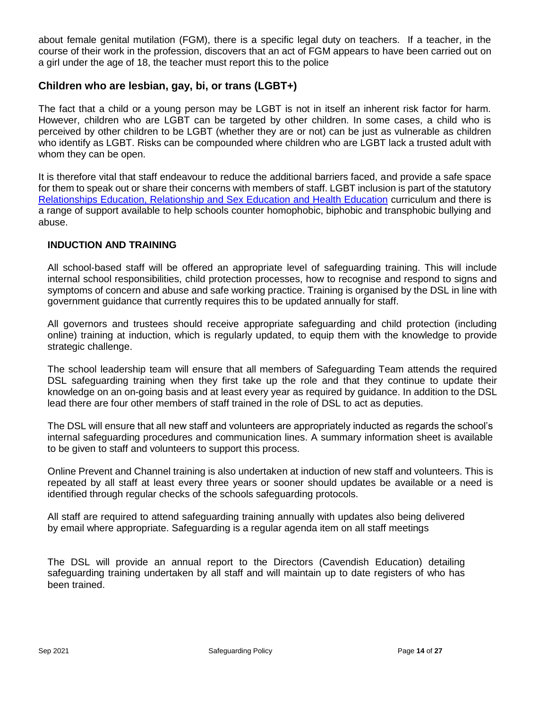about female genital mutilation (FGM), there is a specific legal duty on teachers. If a teacher, in the course of their work in the profession, discovers that an act of FGM appears to have been carried out on a girl under the age of 18, the teacher must report this to the police

# **Children who are lesbian, gay, bi, or trans (LGBT+)**

The fact that a child or a young person may be LGBT is not in itself an inherent risk factor for harm. However, children who are LGBT can be targeted by other children. In some cases, a child who is perceived by other children to be LGBT (whether they are or not) can be just as vulnerable as children who identify as LGBT. Risks can be compounded where children who are LGBT lack a trusted adult with whom they can be open.

It is therefore vital that staff endeavour to reduce the additional barriers faced, and provide a safe space for them to speak out or share their concerns with members of staff. LGBT inclusion is part of the statutory [Relationships Education, Relationship and Sex Education and Health Education](https://www.gov.uk/government/publications/relationships-education-relationships-and-sex-education-rse-and-health-education) curriculum and there is a range of support available to help schools counter homophobic, biphobic and transphobic bullying and abuse.

## **INDUCTION AND TRAINING**

All school-based staff will be offered an appropriate level of safeguarding training. This will include internal school responsibilities, child protection processes, how to recognise and respond to signs and symptoms of concern and abuse and safe working practice. Training is organised by the DSL in line with government guidance that currently requires this to be updated annually for staff.

All governors and trustees should receive appropriate safeguarding and child protection (including online) training at induction, which is regularly updated, to equip them with the knowledge to provide strategic challenge.

The school leadership team will ensure that all members of Safeguarding Team attends the required DSL safeguarding training when they first take up the role and that they continue to update their knowledge on an on-going basis and at least every year as required by guidance. In addition to the DSL lead there are four other members of staff trained in the role of DSL to act as deputies.

The DSL will ensure that all new staff and volunteers are appropriately inducted as regards the school's internal safeguarding procedures and communication lines. A summary information sheet is available to be given to staff and volunteers to support this process.

Online Prevent and Channel training is also undertaken at induction of new staff and volunteers. This is repeated by all staff at least every three years or sooner should updates be available or a need is identified through regular checks of the schools safeguarding protocols.

All staff are required to attend safeguarding training annually with updates also being delivered by email where appropriate. Safeguarding is a regular agenda item on all staff meetings

The DSL will provide an annual report to the Directors (Cavendish Education) detailing safeguarding training undertaken by all staff and will maintain up to date registers of who has been trained.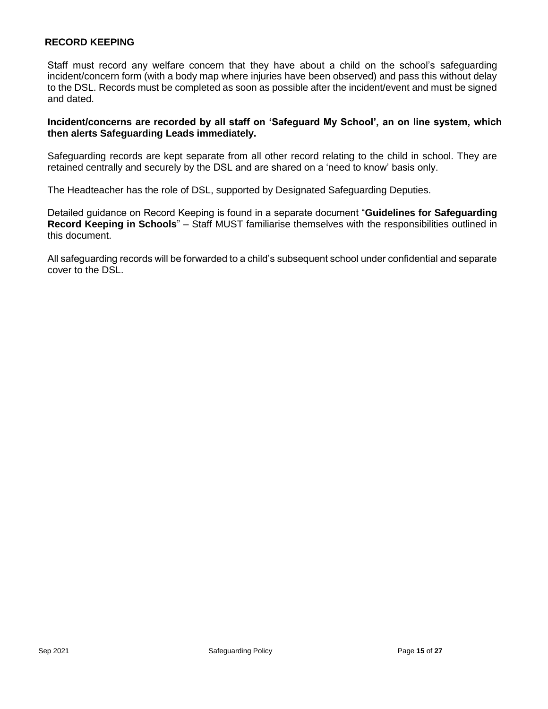## **RECORD KEEPING**

Staff must record any welfare concern that they have about a child on the school's safeguarding incident/concern form (with a body map where injuries have been observed) and pass this without delay to the DSL. Records must be completed as soon as possible after the incident/event and must be signed and dated.

## **Incident/concerns are recorded by all staff on 'Safeguard My School', an on line system, which then alerts Safeguarding Leads immediately.**

Safeguarding records are kept separate from all other record relating to the child in school. They are retained centrally and securely by the DSL and are shared on a 'need to know' basis only.

The Headteacher has the role of DSL, supported by Designated Safeguarding Deputies.

Detailed guidance on Record Keeping is found in a separate document "**Guidelines for Safeguarding Record Keeping in Schools**" *–* Staff MUST familiarise themselves with the responsibilities outlined in this document.

All safeguarding records will be forwarded to a child's subsequent school under confidential and separate cover to the DSL.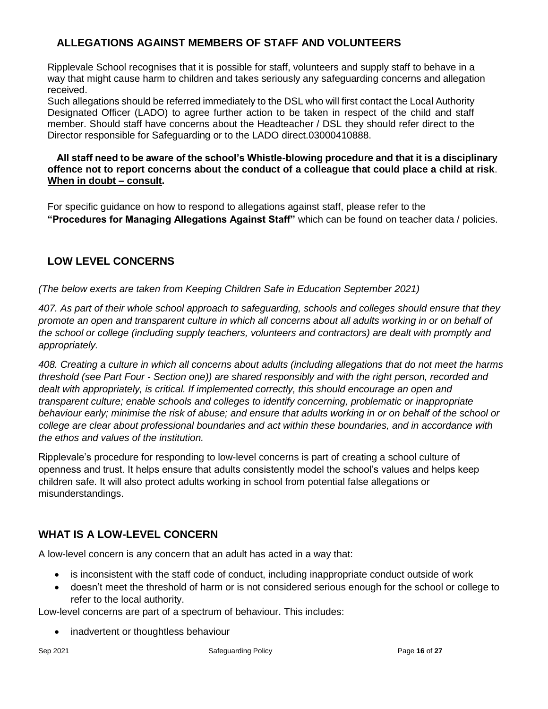# **ALLEGATIONS AGAINST MEMBERS OF STAFF AND VOLUNTEERS**

Ripplevale School recognises that it is possible for staff, volunteers and supply staff to behave in a way that might cause harm to children and takes seriously any safeguarding concerns and allegation received.

Such allegations should be referred immediately to the DSL who will first contact the Local Authority Designated Officer (LADO) to agree further action to be taken in respect of the child and staff member. Should staff have concerns about the Headteacher / DSL they should refer direct to the Director responsible for Safeguarding or to the LADO direct.03000410888.

## **All staff need to be aware of the school's Whistle-blowing procedure and that it is a disciplinary offence not to report concerns about the conduct of a colleague that could place a child at risk**. **When in doubt – consult.**

For specific guidance on how to respond to allegations against staff, please refer to the **"Procedures for Managing Allegations Against Staff"** which can be found on teacher data / policies.

# **LOW LEVEL CONCERNS**

# *(The below exerts are taken from Keeping Children Safe in Education September 2021)*

*407. As part of their whole school approach to safeguarding, schools and colleges should ensure that they promote an open and transparent culture in which all concerns about all adults working in or on behalf of the school or college (including supply teachers, volunteers and contractors) are dealt with promptly and appropriately.* 

*408. Creating a culture in which all concerns about adults (including allegations that do not meet the harms threshold (see Part Four - Section one)) are shared responsibly and with the right person, recorded and dealt with appropriately, is critical. If implemented correctly, this should encourage an open and transparent culture; enable schools and colleges to identify concerning, problematic or inappropriate behaviour early; minimise the risk of abuse; and ensure that adults working in or on behalf of the school or college are clear about professional boundaries and act within these boundaries, and in accordance with the ethos and values of the institution.*

Ripplevale's procedure for responding to low-level concerns is part of creating a school culture of openness and trust. It helps ensure that adults consistently model the school's values and helps keep children safe. It will also protect adults working in school from potential false allegations or misunderstandings.

# **WHAT IS A LOW-LEVEL CONCERN**

A low-level concern is any concern that an adult has acted in a way that:

- is inconsistent with the staff code of conduct, including inappropriate conduct outside of work
- doesn't meet the threshold of harm or is not considered serious enough for the school or college to refer to the local authority.

Low-level concerns are part of a spectrum of behaviour. This includes:

• inadvertent or thoughtless behaviour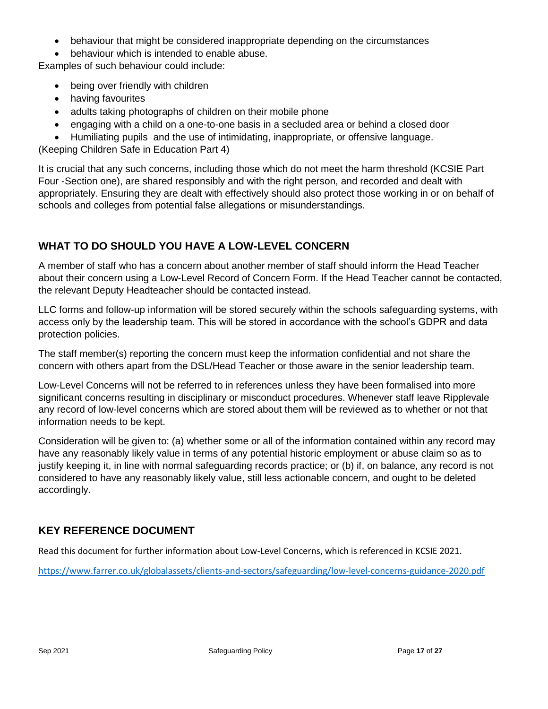- behaviour that might be considered inappropriate depending on the circumstances
- behaviour which is intended to enable abuse.

Examples of such behaviour could include:

- being over friendly with children
- having favourites
- adults taking photographs of children on their mobile phone
- engaging with a child on a one-to-one basis in a secluded area or behind a closed door
- Humiliating pupils and the use of intimidating, inappropriate, or offensive language.

(Keeping Children Safe in Education Part 4)

It is crucial that any such concerns, including those which do not meet the harm threshold (KCSIE Part Four -Section one), are shared responsibly and with the right person, and recorded and dealt with appropriately. Ensuring they are dealt with effectively should also protect those working in or on behalf of schools and colleges from potential false allegations or misunderstandings.

# **WHAT TO DO SHOULD YOU HAVE A LOW-LEVEL CONCERN**

A member of staff who has a concern about another member of staff should inform the Head Teacher about their concern using a Low-Level Record of Concern Form. If the Head Teacher cannot be contacted, the relevant Deputy Headteacher should be contacted instead.

LLC forms and follow-up information will be stored securely within the schools safeguarding systems, with access only by the leadership team. This will be stored in accordance with the school's GDPR and data protection policies.

The staff member(s) reporting the concern must keep the information confidential and not share the concern with others apart from the DSL/Head Teacher or those aware in the senior leadership team.

Low-Level Concerns will not be referred to in references unless they have been formalised into more significant concerns resulting in disciplinary or misconduct procedures. Whenever staff leave Ripplevale any record of low-level concerns which are stored about them will be reviewed as to whether or not that information needs to be kept.

Consideration will be given to: (a) whether some or all of the information contained within any record may have any reasonably likely value in terms of any potential historic employment or abuse claim so as to justify keeping it, in line with normal safeguarding records practice; or (b) if, on balance, any record is not considered to have any reasonably likely value, still less actionable concern, and ought to be deleted accordingly.

# **KEY REFERENCE DOCUMENT**

Read this document for further information about Low-Level Concerns, which is referenced in KCSIE 2021.

<https://www.farrer.co.uk/globalassets/clients-and-sectors/safeguarding/low-level-concerns-guidance-2020.pdf>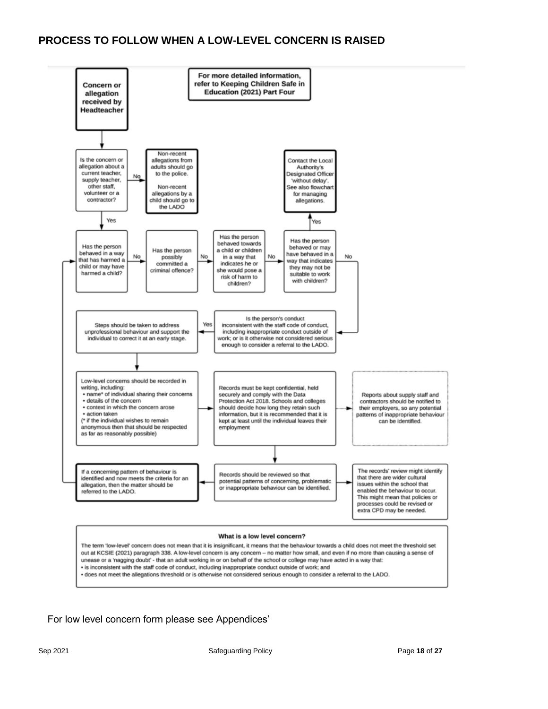

For low level concern form please see Appendices'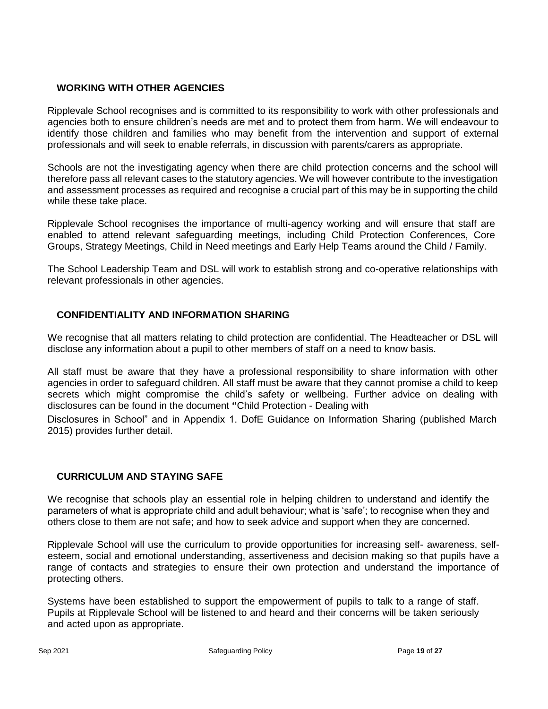## **WORKING WITH OTHER AGENCIES**

Ripplevale School recognises and is committed to its responsibility to work with other professionals and agencies both to ensure children's needs are met and to protect them from harm. We will endeavour to identify those children and families who may benefit from the intervention and support of external professionals and will seek to enable referrals, in discussion with parents/carers as appropriate.

Schools are not the investigating agency when there are child protection concerns and the school will therefore pass all relevant cases to the statutory agencies. We will however contribute to the investigation and assessment processes as required and recognise a crucial part of this may be in supporting the child while these take place.

Ripplevale School recognises the importance of multi-agency working and will ensure that staff are enabled to attend relevant safeguarding meetings, including Child Protection Conferences, Core Groups, Strategy Meetings, Child in Need meetings and Early Help Teams around the Child / Family.

The School Leadership Team and DSL will work to establish strong and co-operative relationships with relevant professionals in other agencies.

## **CONFIDENTIALITY AND INFORMATION SHARING**

We recognise that all matters relating to child protection are confidential. The Headteacher or DSL will disclose any information about a pupil to other members of staff on a need to know basis.

All staff must be aware that they have a professional responsibility to share information with other agencies in order to safeguard children. All staff must be aware that they cannot promise a child to keep secrets which might compromise the child's safety or wellbeing. Further advice on dealing with disclosures can be found in the document **"**Child Protection - Dealing with

Disclosures in School" and in Appendix 1. DofE Guidance on Information Sharing (published March 2015) provides further detail.

# **CURRICULUM AND STAYING SAFE**

We recognise that schools play an essential role in helping children to understand and identify the parameters of what is appropriate child and adult behaviour; what is 'safe'; to recognise when they and others close to them are not safe; and how to seek advice and support when they are concerned.

Ripplevale School will use the curriculum to provide opportunities for increasing self- awareness, selfesteem, social and emotional understanding, assertiveness and decision making so that pupils have a range of contacts and strategies to ensure their own protection and understand the importance of protecting others.

Systems have been established to support the empowerment of pupils to talk to a range of staff. Pupils at Ripplevale School will be listened to and heard and their concerns will be taken seriously and acted upon as appropriate.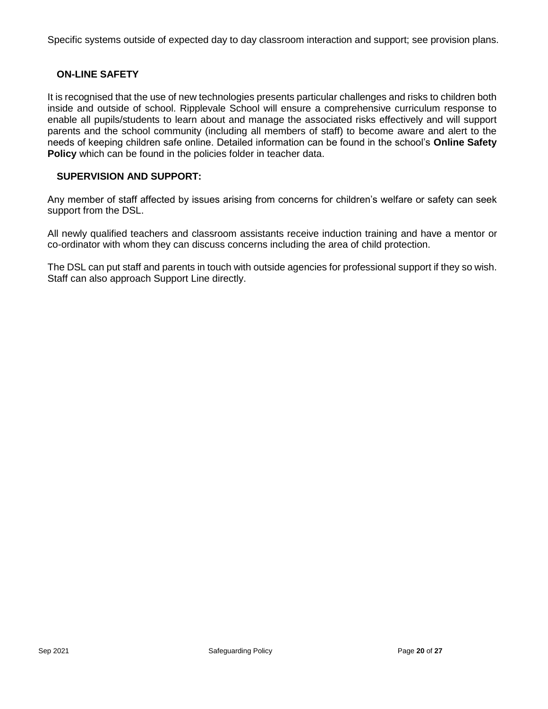Specific systems outside of expected day to day classroom interaction and support; see provision plans.

## **ON-LINE SAFETY**

It is recognised that the use of new technologies presents particular challenges and risks to children both inside and outside of school. Ripplevale School will ensure a comprehensive curriculum response to enable all pupils/students to learn about and manage the associated risks effectively and will support parents and the school community (including all members of staff) to become aware and alert to the needs of keeping children safe online. Detailed information can be found in the school's **Online Safety Policy** which can be found in the policies folder in teacher data.

### **SUPERVISION AND SUPPORT:**

Any member of staff affected by issues arising from concerns for children's welfare or safety can seek support from the DSL.

All newly qualified teachers and classroom assistants receive induction training and have a mentor or co-ordinator with whom they can discuss concerns including the area of child protection.

The DSL can put staff and parents in touch with outside agencies for professional support if they so wish. Staff can also approach Support Line directly.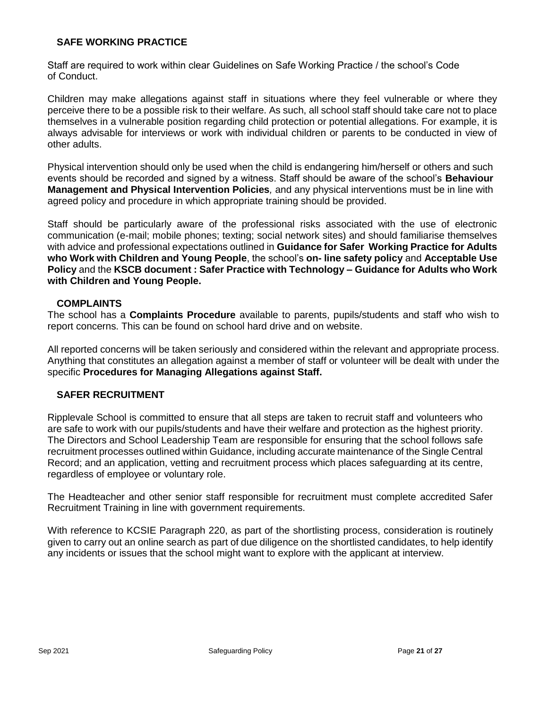## **SAFE WORKING PRACTICE**

Staff are required to work within clear Guidelines on Safe Working Practice / the school's Code of Conduct.

Children may make allegations against staff in situations where they feel vulnerable or where they perceive there to be a possible risk to their welfare. As such, all school staff should take care not to place themselves in a vulnerable position regarding child protection or potential allegations. For example, it is always advisable for interviews or work with individual children or parents to be conducted in view of other adults.

Physical intervention should only be used when the child is endangering him/herself or others and such events should be recorded and signed by a witness. Staff should be aware of the school's **Behaviour Management and Physical Intervention Policies***,* and any physical interventions must be in line with agreed policy and procedure in which appropriate training should be provided.

Staff should be particularly aware of the professional risks associated with the use of electronic communication (e-mail; mobile phones; texting; social network sites) and should familiarise themselves with advice and professional expectations outlined in **Guidance for Safer Working Practice for Adults who Work with Children and Young People**, the school's **on- line safety policy** and **Acceptable Use Policy** and the **KSCB document : Safer Practice with Technology – Guidance for Adults who Work with Children and Young People.**

## **COMPLAINTS**

The school has a **Complaints Procedure** available to parents, pupils/students and staff who wish to report concerns. This can be found on school hard drive and on website.

All reported concerns will be taken seriously and considered within the relevant and appropriate process. Anything that constitutes an allegation against a member of staff or volunteer will be dealt with under the specific **Procedures for Managing Allegations against Staff.**

# **SAFER RECRUITMENT**

Ripplevale School is committed to ensure that all steps are taken to recruit staff and volunteers who are safe to work with our pupils/students and have their welfare and protection as the highest priority. The Directors and School Leadership Team are responsible for ensuring that the school follows safe recruitment processes outlined within Guidance, including accurate maintenance of the Single Central Record; and an application, vetting and recruitment process which places safeguarding at its centre, regardless of employee or voluntary role.

The Headteacher and other senior staff responsible for recruitment must complete accredited Safer Recruitment Training in line with government requirements.

With reference to KCSIE Paragraph 220, as part of the shortlisting process, consideration is routinely given to carry out an online search as part of due diligence on the shortlisted candidates, to help identify any incidents or issues that the school might want to explore with the applicant at interview.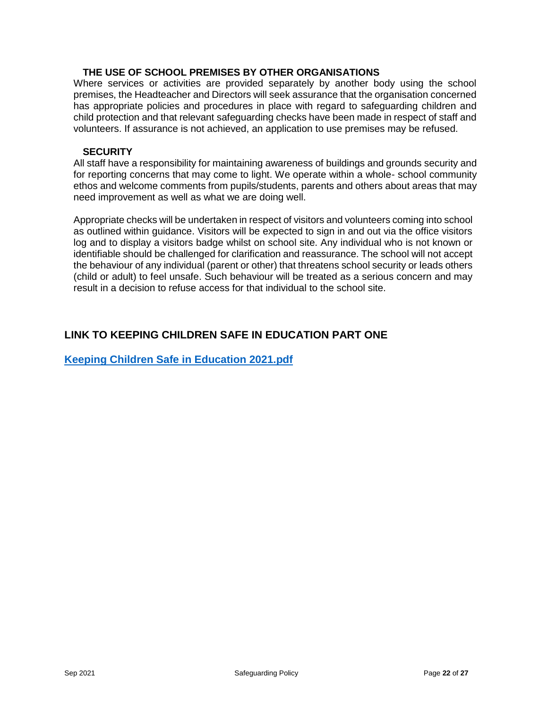## **THE USE OF SCHOOL PREMISES BY OTHER ORGANISATIONS**

Where services or activities are provided separately by another body using the school premises, the Headteacher and Directors will seek assurance that the organisation concerned has appropriate policies and procedures in place with regard to safeguarding children and child protection and that relevant safeguarding checks have been made in respect of staff and volunteers. If assurance is not achieved, an application to use premises may be refused.

#### **SECURITY**

All staff have a responsibility for maintaining awareness of buildings and grounds security and for reporting concerns that may come to light. We operate within a whole- school community ethos and welcome comments from pupils/students, parents and others about areas that may need improvement as well as what we are doing well.

Appropriate checks will be undertaken in respect of visitors and volunteers coming into school as outlined within guidance. Visitors will be expected to sign in and out via the office visitors log and to display a visitors badge whilst on school site. Any individual who is not known or identifiable should be challenged for clarification and reassurance. The school will not accept the behaviour of any individual (parent or other) that threatens school security or leads others (child or adult) to feel unsafe. Such behaviour will be treated as a serious concern and may result in a decision to refuse access for that individual to the school site.

# **LINK TO KEEPING CHILDREN SAFE IN EDUCATION PART ONE**

**[Keeping Children Safe in Education 2021.pdf](about:blank)**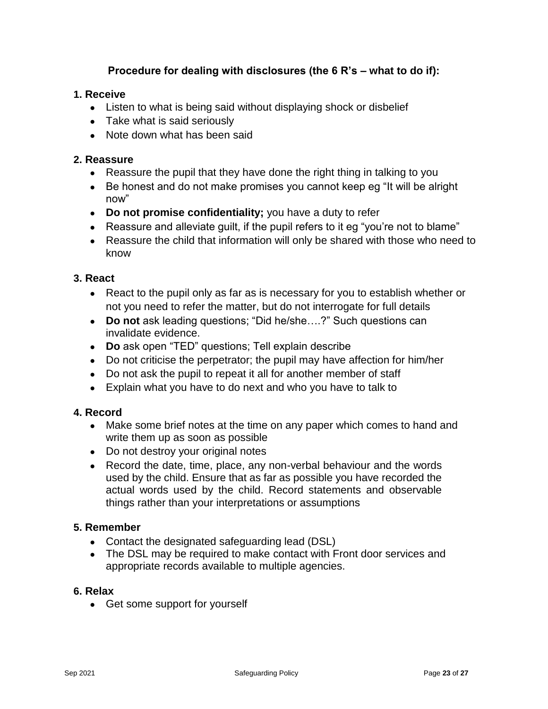# **Procedure for dealing with disclosures (the 6 R's – what to do if):**

## **1. Receive**

- Listen to what is being said without displaying shock or disbelief
- Take what is said seriously
- Note down what has been said

## **2. Reassure**

- Reassure the pupil that they have done the right thing in talking to you
- Be honest and do not make promises you cannot keep eg "It will be alright now"
- **Do not promise confidentiality;** you have a duty to refer
- Reassure and alleviate quilt, if the pupil refers to it eg "you're not to blame"
- Reassure the child that information will only be shared with those who need to know

## **3. React**

- React to the pupil only as far as is necessary for you to establish whether or not you need to refer the matter, but do not interrogate for full details
- **Do not** ask leading questions; "Did he/she....?" Such questions can invalidate evidence.
- **Do** ask open "TED" questions; Tell explain describe
- Do not criticise the perpetrator; the pupil may have affection for him/her
- Do not ask the pupil to repeat it all for another member of staff
- Explain what you have to do next and who you have to talk to

# **4. Record**

- Make some brief notes at the time on any paper which comes to hand and write them up as soon as possible
- Do not destroy your original notes
- Record the date, time, place, any non-verbal behaviour and the words used by the child. Ensure that as far as possible you have recorded the actual words used by the child. Record statements and observable things rather than your interpretations or assumptions

## **5. Remember**

- Contact the designated safeguarding lead (DSL)
- The DSL may be required to make contact with Front door services and appropriate records available to multiple agencies.

## **6. Relax**

• Get some support for yourself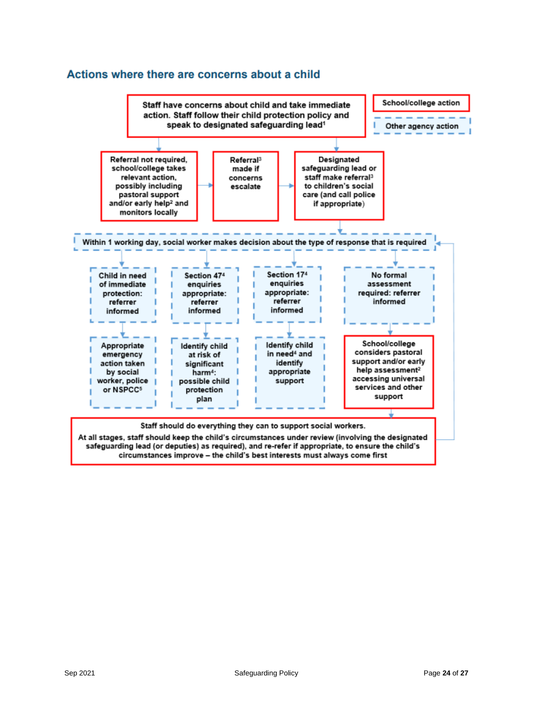## Actions where there are concerns about a child

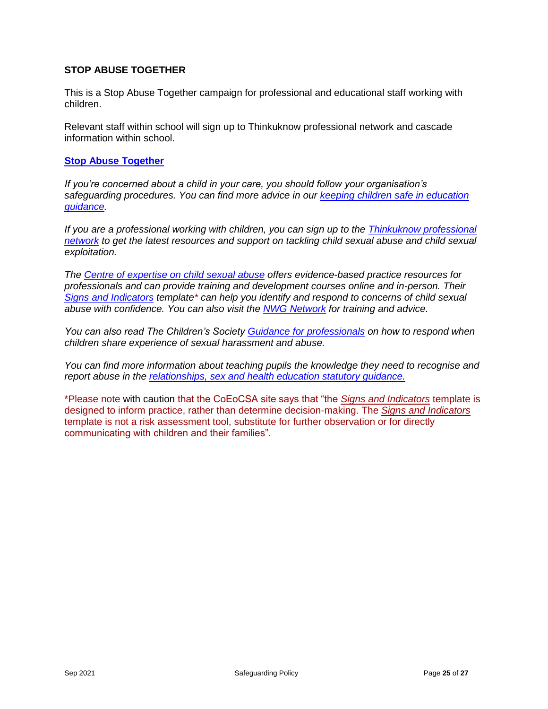## **STOP ABUSE TOGETHER**

This is a Stop Abuse Together campaign for professional and educational staff working with children.

Relevant staff within school will sign up to Thinkuknow professional network and cascade information within school.

#### **[Stop Abuse Together](https://stopabusetogether.campaign.gov.uk/im-a-professional/)**

*If you're concerned about a child in your care, you should follow your organisation's safeguarding procedures. You can find more advice in our [keeping children safe in education](https://assets.publishing.service.gov.uk/government/uploads/system/uploads/attachment_data/file/1021914/KCSIE_2021_September_guidance.pdf)  [guidance.](https://assets.publishing.service.gov.uk/government/uploads/system/uploads/attachment_data/file/1021914/KCSIE_2021_September_guidance.pdf)*

*If you are a professional working with children, you can sign up to the [Thinkuknow professional](https://www.thinkuknow.co.uk/professionals/)  [network](https://www.thinkuknow.co.uk/professionals/) to get the latest resources and support on tackling child sexual abuse and child sexual exploitation.*

*The [Centre of expertise on child sexual abuse](https://www.csacentre.org.uk/training/training-courses-and-professional-development/) offers evidence-based practice resources for professionals and can provide training and development courses online and in-person. Their [Signs and Indicators](https://www.csacentre.org.uk/knowledge-in-practice/practice-improvement/signs-indicators-template/) template\* can help you identify and respond to concerns of child sexual abuse with confidence. You can also visit the [NWG Network](https://www.nwgnetwork.org/for-professionals/) for training and advice.*

*You can also read The Children's Society [Guidance for professionals](https://www.flipsnack.com/CA7CFEBBDC9/responding-to-children-sharing-experience-of-sexual-abuse-zkigi8nd1j.html) on how to respond when children share experience of sexual harassment and abuse.*

*You can find more information about teaching pupils the knowledge they need to recognise and report abuse in the [relationships, sex and health education statutory guidance.](https://www.gov.uk/government/publications/relationships-education-relationships-and-sex-education-rse-and-health-education)*

\*Please note with caution that the CoEoCSA site says that "the *[Signs and Indicators](https://www.csacentre.org.uk/knowledge-in-practice/practice-improvement/signs-indicators-template/)* template is designed to inform practice, rather than determine decision-making. The *[Signs and Indicators](https://www.csacentre.org.uk/knowledge-in-practice/practice-improvement/signs-indicators-template/)* template is not a risk assessment tool, substitute for further observation or for directly communicating with children and their families".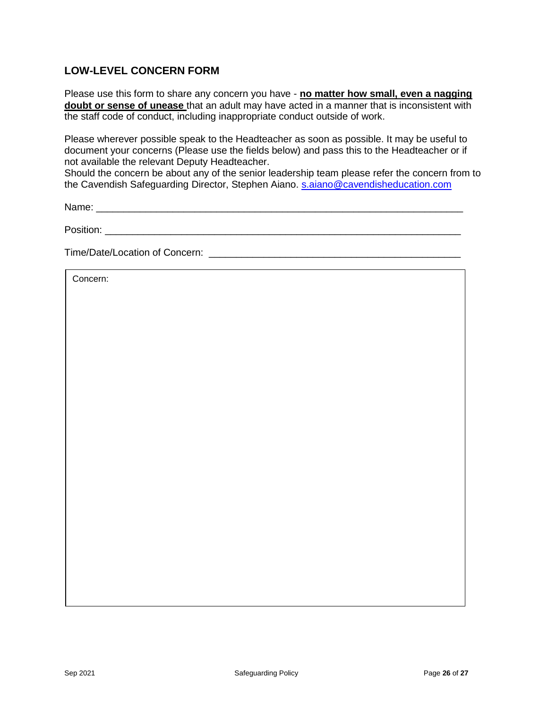# **LOW-LEVEL CONCERN FORM**

Please use this form to share any concern you have - **no matter how small, even a nagging doubt or sense of unease** that an adult may have acted in a manner that is inconsistent with the staff code of conduct, including inappropriate conduct outside of work.

Please wherever possible speak to the Headteacher as soon as possible. It may be useful to document your concerns (Please use the fields below) and pass this to the Headteacher or if not available the relevant Deputy Headteacher.

Should the concern be about any of the senior leadership team please refer the concern from to the Cavendish Safeguarding Director, Stephen Aiano. [s.aiano@cavendisheducation.com](mailto:s.aiano@cavendisheducation.com)

Name: \_\_\_\_\_\_\_\_\_\_\_\_\_\_\_\_\_\_\_\_\_\_\_\_\_\_\_\_\_\_\_\_\_\_\_\_\_\_\_\_\_\_\_\_\_\_\_\_\_\_\_\_\_\_\_\_\_\_\_\_\_\_\_\_\_\_\_

Position: \_\_\_\_\_\_\_\_\_\_\_\_\_\_\_\_\_\_\_\_\_\_\_\_\_\_\_\_\_\_\_\_\_\_\_\_\_\_\_\_\_\_\_\_\_\_\_\_\_\_\_\_\_\_\_\_\_\_\_\_\_\_\_\_\_

Time/Date/Location of Concern: **Example 20** and 20 and 20 and 20 and 20 and 20 and 20 and 20 and 20 and 20 and 20 and 20 and 20 and 20 and 20 and 20 and 20 and 20 and 20 and 20 and 20 and 20 and 20 and 20 and 20 and 20 and

Concern: